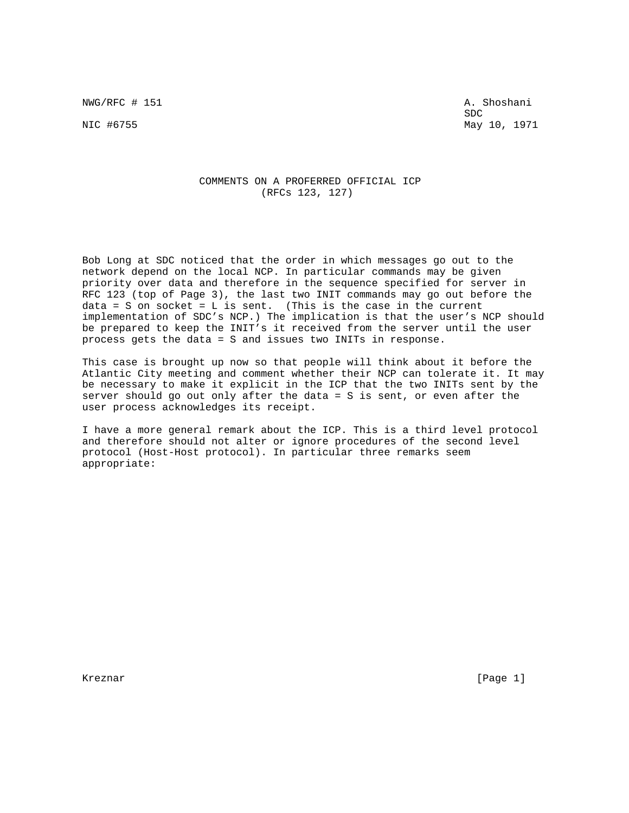NWG/RFC # 151 A. Shoshani

SDC and the state of the state of the state of the state of the state of the state of the state of the state of the state of the state of the state of the state of the state of the state of the state of the state of the st NIC #6755 May 10, 1971

## COMMENTS ON A PROFERRED OFFICIAL ICP (RFCs 123, 127)

Bob Long at SDC noticed that the order in which messages go out to the network depend on the local NCP. In particular commands may be given priority over data and therefore in the sequence specified for server in RFC 123 (top of Page 3), the last two INIT commands may go out before the data = S on socket =  $L$  is sent. (This is the case in the current implementation of SDC's NCP.) The implication is that the user's NCP should be prepared to keep the INIT's it received from the server until the user process gets the data = S and issues two INITs in response.

This case is brought up now so that people will think about it before the Atlantic City meeting and comment whether their NCP can tolerate it. It may be necessary to make it explicit in the ICP that the two INITs sent by the server should go out only after the data = S is sent, or even after the user process acknowledges its receipt.

I have a more general remark about the ICP. This is a third level protocol and therefore should not alter or ignore procedures of the second level protocol (Host-Host protocol). In particular three remarks seem appropriate:

Kreznar [Page 1]